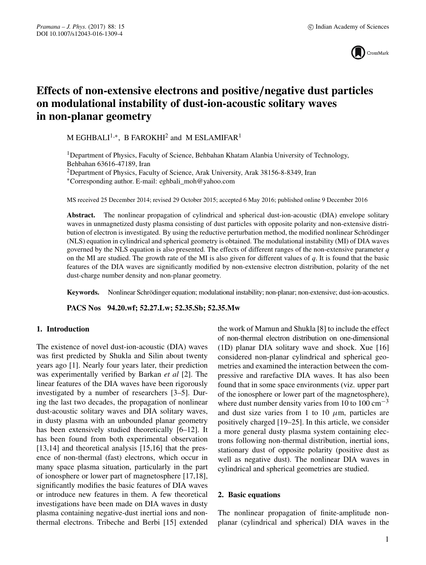

# **Effects of non-extensive electrons and positive***/***negative dust particles on modulational instability of dust-ion-acoustic solitary waves in non-planar geometry**

M EGHBALI<sup>1,\*</sup>, B FAROKHI<sup>2</sup> and M ESLAMIFAR<sup>1</sup>

<sup>1</sup>Department of Physics, Faculty of Science, Behbahan Khatam Alanbia University of Technology, Behbahan 63616-47189, Iran

<sup>2</sup>Department of Physics, Faculty of Science, Arak University, Arak 38156-8-8349, Iran

∗Corresponding author. E-mail: eghbali\_moh@yahoo.com

MS received 25 December 2014; revised 29 October 2015; accepted 6 May 2016; published online 9 December 2016

**Abstract.** The nonlinear propagation of cylindrical and spherical dust-ion-acoustic (DIA) envelope solitary waves in unmagnetized dusty plasma consisting of dust particles with opposite polarity and non-extensive distribution of electron is investigated. By using the reductive perturbation method, the modified nonlinear Schrödinger (NLS) equation in cylindrical and spherical geometry is obtained. The modulational instability (MI) of DIA waves governed by the NLS equation is also presented. The effects of different ranges of the non-extensive parameter *q* on the MI are studied. The growth rate of the MI is also given for different values of *q*. It is found that the basic features of the DIA waves are significantly modified by non-extensive electron distribution, polarity of the net dust-charge number density and non-planar geometry.

**Keywords.** Nonlinear Schrödinger equation; modulational instability; non-planar; non-extensive; dust-ion-acoustics.

**PACS Nos 94.20.wf; 52.27.Lw; 52.35.Sb; 52.35.Mw**

# **1. Introduction**

The existence of novel dust-ion-acoustic (DIA) waves was first predicted by Shukla and Silin about twenty years ago [1]. Nearly four years later, their prediction was experimentally verified by Barkan *et al* [2]. The linear features of the DIA waves have been rigorously investigated by a number of researchers [3–5]. During the last two decades, the propagation of nonlinear dust-acoustic solitary waves and DIA solitary waves, in dusty plasma with an unbounded planar geometry has been extensively studied theoretically [6–12]. It has been found from both experimental observation [13,14] and theoretical analysis [15,16] that the presence of non-thermal (fast) electrons, which occur in many space plasma situation, particularly in the part of ionosphere or lower part of magnetosphere [17,18], significantly modifies the basic features of DIA waves or introduce new features in them. A few theoretical investigations have been made on DIA waves in dusty plasma containing negative-dust inertial ions and nonthermal electrons. Tribeche and Berbi [15] extended the work of Mamun and Shukla [8] to include the effect of non-thermal electron distribution on one-dimensional (1D) planar DIA solitary wave and shock. Xue [16] considered non-planar cylindrical and spherical geometries and examined the interaction between the compressive and rarefactive DIA waves. It has also been found that in some space environments (viz. upper part of the ionosphere or lower part of the magnetosphere), where dust number density varies from 10 to 100 cm<sup>-3</sup> and dust size varies from 1 to 10  $\mu$ m, particles are positively charged [19–25]. In this article, we consider a more general dusty plasma system containing electrons following non-thermal distribution, inertial ions, stationary dust of opposite polarity (positive dust as well as negative dust). The nonlinear DIA waves in cylindrical and spherical geometries are studied.

## **2. Basic equations**

The nonlinear propagation of finite-amplitude nonplanar (cylindrical and spherical) DIA waves in the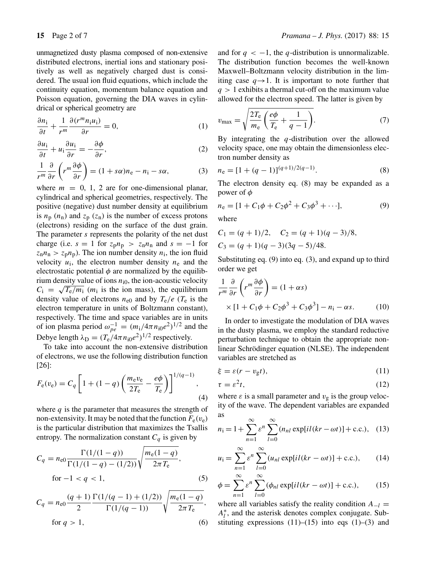drical or spherical geometry are

unmagnetized dusty plasma composed of non-extensive distributed electrons, inertial ions and stationary positively as well as negatively charged dust is considered. The usual ion fluid equations, which include the continuity equation, momentum balance equation and Poisson equation, governing the DIA waves in cylin-

$$
\frac{\partial n_i}{\partial t} + \frac{1}{r^m} \frac{\partial (r^m n_i u_i)}{\partial r} = 0,
$$
\n(1)

$$
\frac{\partial u_i}{\partial t} + u_i \frac{\partial u_i}{\partial r} = -\frac{\partial \phi}{\partial r},\tag{2}
$$

$$
\frac{1}{r^m} \frac{\partial}{\partial r} \left( r^m \frac{\partial \phi}{\partial r} \right) = (1 + s\alpha) n_e - n_i - s\alpha, \tag{3}
$$

where  $m = 0, 1, 2$  are for one-dimensional planar, cylindrical and spherical geometries, respectively. The positive (negative) dust number density at equilibrium is  $n_p$  ( $n_n$ ) and  $z_p$  ( $z_n$ ) is the number of excess protons (electrons) residing on the surface of the dust grain. The parameter s represents the polarity of the net dust charge (i.e.  $s = 1$  for  $z_p n_p > z_n n_n$  and  $s = -1$  for  $z<sub>n</sub>n<sub>n</sub> > z<sub>p</sub>n<sub>p</sub>$ ). The ion number density  $n<sub>i</sub>$ , the ion fluid velocity  $u_i$ , the electron number density  $n_e$  and the electrostatic potential  $\phi$  are normalized by the equilibrium density value of ions  $n_{i0}$ , the ion-acoustic velocity  $C_i = \sqrt{T_e/m_i}$  (*m*<sub>i</sub> is the ion mass), the equilibrium density value of electrons  $n_{e0}$  and by  $T_e/e$  ( $T_e$  is the electron temperature in units of Boltzmann constant), respectively. The time and space variables are in units of ion plasma period  $\omega_{pe}^{-1} = (m_1/4\pi n_{10}e^2)^{1/2}$  and the Debye length  $\lambda_D = (T_e/4\pi n_{i0}e^2)^{1/2}$  respectively.

To take into account the non-extensive distribution of electrons, we use the following distribution function [26]:

$$
F_{e}(v_{e}) = C_{q} \left[ 1 + (1 - q) \left( \frac{m_{e}v_{e}}{2T_{e}} - \frac{e\phi}{T_{e}} \right) \right]^{1/(q-1)},
$$
\n(4)

where  $q$  is the parameter that measures the strength of non-extensivity. It may be noted that the function  $F_e(v_e)$ is the particular distribution that maximizes the Tsallis entropy. The normalization constant  $C_q$  is given by

$$
C_q = n_{e0} \frac{\Gamma(1/(1-q))}{\Gamma(1/(1-q) - (1/2))} \sqrt{\frac{m_e(1-q)}{2\pi T_e}},
$$
  
for  $-1 < q < 1$ , (5)

$$
C_q = n_{e0} \frac{(q+1)}{2} \frac{\Gamma(1/(q-1) + (1/2))}{\Gamma(1/(q-1))} \sqrt{\frac{m_e(1-q)}{2\pi T_e}},
$$
  
for  $q > 1$ , (6)

and for  $q < -1$ , the q-distribution is unnormalizable. The distribution function becomes the well-known Maxwell–Boltzmann velocity distribution in the limiting case  $q \rightarrow 1$ . It is important to note further that  $q > 1$  exhibits a thermal cut-off on the maximum value allowed for the electron speed. The latter is given by

$$
v_{\text{max}} = \sqrt{\frac{2T_{\text{e}}}{m_{\text{e}}}\left(\frac{e\phi}{T_{\text{e}}} + \frac{1}{q-1}\right)}.
$$
 (7)

By integrating the  $q$ -distribution over the allowed velocity space, one may obtain the dimensionless electron number density as

$$
n_e = [1 + (q - 1)]^{(q+1)/2(q-1)}.
$$
 (8)

The electron density eq. (8) may be expanded as a power of  $\phi$ 

$$
n_e = [1 + C_1\phi + C_2\phi^2 + C_3\phi^3 + \cdots],
$$
\n(9)

where

$$
C_1 = (q + 1)/2
$$
,  $C_2 = (q + 1)(q - 3)/8$ ,  
\n $C_3 = (q + 1)(q - 3)(3q - 5)/48$ .

Substituting eq. (9) into eq. (3), and expand up to third order we get

$$
\frac{1}{r^m} \frac{\partial}{\partial r} \left( r^m \frac{\partial \phi}{\partial r} \right) = (1 + \alpha s) \times [1 + C_1 \phi + C_2 \phi^3 + C_3 \phi^3] - n_i - \alpha s.
$$
\n(10)

In order to investigate the modulation of DIA waves in the dusty plasma, we employ the standard reductive perturbation technique to obtain the appropriate nonlinear Schrödinger equation (NLSE). The independent variables are stretched as

$$
\xi = \varepsilon (r - v_{\rm g} t),\tag{11}
$$

$$
\tau = \varepsilon^2 t,\tag{12}
$$

where  $\varepsilon$  is a small parameter and  $v_{\rm g}$  is the group velocity of the wave. The dependent variables are expanded as

$$
n_{\rm i} = 1 + \sum_{n=1}^{\infty} \varepsilon^n \sum_{l=0}^{\infty} (n_{nl} \exp[i l (kr - \omega t)] + \text{c.c.}), \quad (13)
$$

$$
u_{i} = \sum_{n=1}^{\infty} \varepsilon^{n} \sum_{l=0}^{\infty} (u_{nl} \exp[i l (kr - \omega t)] + \text{c.c.}), \qquad (14)
$$

$$
\phi = \sum_{n=1}^{\infty} \varepsilon^n \sum_{l=0}^{\infty} (\phi_{nl} \exp[i l (kr - \omega t)] + \text{c.c.}), \qquad (15)
$$

where all variables satisfy the reality condition  $A_{-l}$  =  $A_l^*$ , and the asterisk denotes complex conjugate. Substituting expressions  $(11)$ – $(15)$  into eqs  $(1)$ – $(3)$  and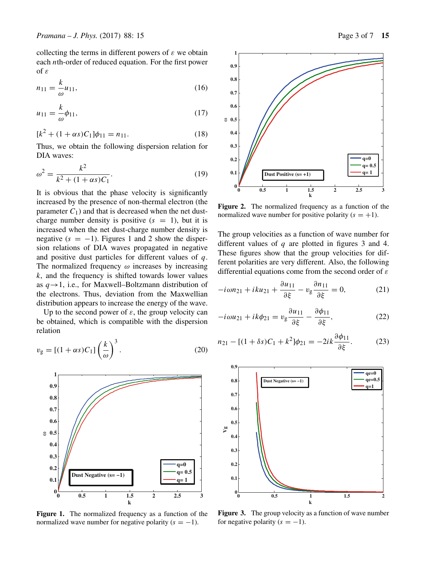collecting the terms in different powers of  $\varepsilon$  we obtain each nth-order of reduced equation. For the first power of ε

$$
n_{11} = \frac{k}{\omega} u_{11},
$$
\n(16)

$$
u_{11} = \frac{k}{\omega} \phi_{11},\tag{17}
$$

$$
[k2 + (1 + \alpha s)C1]\phi11 = n11.
$$
 (18)

Thus, we obtain the following dispersion relation for DIA waves:

$$
\omega^2 = \frac{k^2}{k^2 + (1 + \alpha s)C_1}.
$$
\n(19)

It is obvious that the phase velocity is significantly increased by the presence of non-thermal electron (the parameter  $C_1$ ) and that is decreased when the net dustcharge number density is positive  $(s = 1)$ , but it is increased when the net dust-charge number density is negative  $(s = -1)$ . Figures 1 and 2 show the dispersion relations of DIA waves propagated in negative and positive dust particles for different values of  $q$ . The normalized frequency  $\omega$  increases by increasing  $k$ , and the frequency is shifted towards lower values as  $q \rightarrow 1$ , i.e., for Maxwell–Boltzmann distribution of the electrons. Thus, deviation from the Maxwellian distribution appears to increase the energy of the wave.

Up to the second power of  $\varepsilon$ , the group velocity can be obtained, which is compatible with the dispersion relation

$$
v_{\rm g} = \left[ (1 + \alpha s) C_1 \right] \left( \frac{k}{\omega} \right)^3. \tag{20}
$$



**Figure 1.** The normalized frequency as a function of the normalized wave number for negative polarity  $(s = -1)$ .



**Figure 2.** The normalized frequency as a function of the normalized wave number for positive polarity  $(s = +1)$ .

The group velocities as a function of wave number for different values of  $q$  are plotted in figures 3 and 4. These figures show that the group velocities for different polarities are very different. Also, the following differential equations come from the second order of  $\varepsilon$ 

$$
-i\omega n_{21} + iku_{21} + \frac{\partial u_{11}}{\partial \xi} - v_g \frac{\partial n_{11}}{\partial \xi} = 0, \qquad (21)
$$

$$
-i\omega u_{21} + ik\phi_{21} = v_g \frac{\partial u_{11}}{\partial \xi} - \frac{\partial \phi_{11}}{\partial \xi},\tag{22}
$$

$$
n_{21} - [(1 + \delta s)C_1 + k^2] \phi_{21} = -2ik \frac{\partial \phi_{11}}{\partial \xi}.
$$
 (23)



**Figure 3.** The group velocity as a function of wave number for negative polarity  $(s = -1)$ .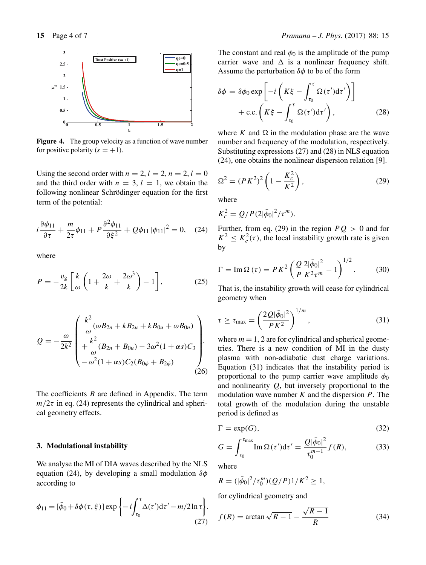

**Figure 4.** The group velocity as a function of wave number for positive polarity  $(s = +1)$ .

Using the second order with  $n = 2, l = 2, n = 2, l = 0$ and the third order with  $n = 3$ ,  $l = 1$ , we obtain the following nonlinear Schrödinger equation for the first term of the potential:

$$
i\frac{\partial \phi_{11}}{\partial \tau} + \frac{m}{2\tau} \phi_{11} + P \frac{\partial^2 \phi_{11}}{\partial \xi^2} + Q \phi_{11} |\phi_{11}|^2 = 0, \quad (24)
$$

where

$$
P = -\frac{v_{\rm g}}{2k} \left[ \frac{k}{\omega} \left( 1 + \frac{2\omega}{k} + \frac{2\omega^3}{k} \right) - 1 \right],\tag{25}
$$

$$
Q = -\frac{\omega}{2k^2} \begin{pmatrix} \frac{k^2}{\omega} (\omega B_{2n} + k B_{2u} + k B_{0u} + \omega B_{0n}) \\ + \frac{k^2}{\omega} (B_{2n} + B_{0u}) - 3\omega^2 (1 + \alpha s) C_3 \\ -\omega^2 (1 + \alpha s) C_2 (B_{0\phi} + B_{2\phi}) \end{pmatrix} .
$$
 (26)

The coefficients  $B$  are defined in Appendix. The term  $m/2\tau$  in eq. (24) represents the cylindrical and spherical geometry effects.

#### **3. Modulational instability**

We analyse the MI of DIA waves described by the NLS equation (24), by developing a small modulation  $\delta\phi$ according to

$$
\phi_{11} = [\bar{\phi}_0 + \delta\phi(\tau, \xi)] \exp\left\{-i \int_{\tau_0}^{\tau} \Delta(\tau') d\tau' - m/2 \ln \tau\right\}.
$$
\n(27)

The constant and real  $\phi_0$  is the amplitude of the pump carrier wave and  $\Delta$  is a nonlinear frequency shift. Assume the perturbation  $\delta\phi$  to be of the form

$$
\delta \phi = \delta \phi_0 \exp \left[ -i \left( K \xi - \int_{\tau_0}^{\tau} \Omega(\tau') d\tau' \right) \right] + \text{c.c.} \left( K \xi - \int_{\tau_0}^{\tau} \Omega(\tau') d\tau' \right), \tag{28}
$$

where K and  $\Omega$  in the modulation phase are the wave number and frequency of the modulation, respectively. Substituting expressions (27) and (28) in NLS equation (24), one obtains the nonlinear dispersion relation [9].

$$
\Omega^2 = (PK^2)^2 \left( 1 - \frac{K_c^2}{K^2} \right),\tag{29}
$$

where

$$
K_c^2 = Q/P(2|\bar{\phi}_0|^2/\tau^m).
$$

Further, from eq. (29) in the region  $PQ > 0$  and for  $K^2 \leq K_c^2(\tau)$ , the local instability growth rate is given by

$$
\Gamma = \operatorname{Im}\Omega\left(\tau\right) = P K^2 \left(\frac{Q}{P} \frac{2|\bar{\phi}_0|^2}{K^2 \tau^m} - 1\right)^{1/2}.\tag{30}
$$

That is, the instability growth will cease for cylindrical geometry when

$$
\tau \ge \tau_{\text{max}} = \left(\frac{2Q|\bar{\phi}_0|^2}{PK^2}\right)^{1/m},\tag{31}
$$

where  $m = 1$ , 2 are for cylindrical and spherical geometries. There is a new condition of MI in the dusty plasma with non-adiabatic dust charge variations. Equation (31) indicates that the instability period is proportional to the pump carrier wave amplitude  $\phi_0$ and nonlinearity  $Q$ , but inversely proportional to the modulation wave number  $K$  and the dispersion  $P$ . The total growth of the modulation during the unstable period is defined as

$$
\Gamma = \exp(G),\tag{32}
$$

$$
G = \int_{\tau_0}^{\tau_{\text{max}}} \text{Im}\,\Omega(\tau')d\tau' = \frac{Q|\bar{\phi}_0|^2}{\tau_0^{m-1}}f(R),\tag{33}
$$

where

$$
R = (|\bar{\phi}_0|^2 / \tau_0^m)(Q/P)1/K^2 \ge 1,
$$

for cylindrical geometry and

$$
f(R) = \arctan\sqrt{R - 1} - \frac{\sqrt{R - 1}}{R}
$$
 (34)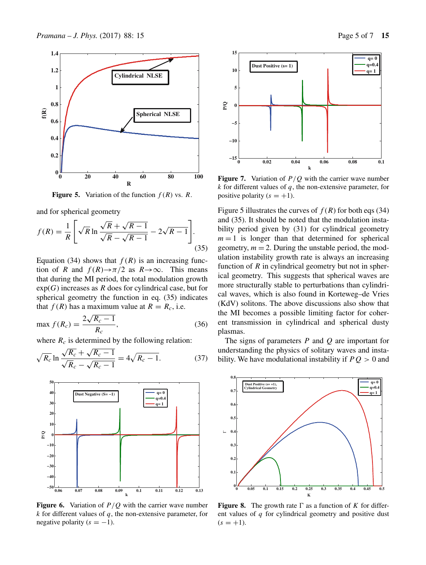

**Figure 5.** Variation of the function  $f(R)$  vs. R.

and for spherical geometry

$$
f(R) = \frac{1}{R} \left[ \sqrt{R} \ln \frac{\sqrt{R} + \sqrt{R-1}}{\sqrt{R} - \sqrt{R-1}} - 2\sqrt{R-1} \right].
$$
\n(35)

Equation (34) shows that  $f(R)$  is an increasing function of R and  $f(R) \rightarrow \pi/2$  as  $R \rightarrow \infty$ . This means that during the MI period, the total modulation growth  $exp(G)$  increases as R does for cylindrical case, but for spherical geometry the function in eq. (35) indicates that  $f(R)$  has a maximum value at  $R = R_c$ , i.e.

$$
\max f(R_c) = \frac{2\sqrt{R_c - 1}}{R_c},\tag{36}
$$

where  $R_c$  is determined by the following relation:

$$
\sqrt{R_c} \ln \frac{\sqrt{R_c} + \sqrt{R_c - 1}}{\sqrt{R_c} - \sqrt{R_c - 1}} = 4\sqrt{R_c - 1}.
$$
 (37)



**Figure 6.** Variation of  $P/Q$  with the carrier wave number  $k$  for different values of  $q$ , the non-extensive parameter, for negative polarity  $(s = -1)$ .



**Figure 7.** Variation of  $P/Q$  with the carrier wave number  $k$  for different values of  $q$ , the non-extensive parameter, for positive polarity  $(s = +1)$ .

Figure 5 illustrates the curves of  $f(R)$  for both eqs (34) and (35). It should be noted that the modulation instability period given by (31) for cylindrical geometry  $m = 1$  is longer than that determined for spherical geometry,  $m = 2$ . During the unstable period, the modulation instability growth rate is always an increasing function of  $R$  in cylindrical geometry but not in spherical geometry. This suggests that spherical waves are more structurally stable to perturbations than cylindrical waves, which is also found in Korteweg–de Vries (KdV) solitons. The above discussions also show that the MI becomes a possible limiting factor for coherent transmission in cylindrical and spherical dusty plasmas.

The signs of parameters  $P$  and  $Q$  are important for understanding the physics of solitary waves and instability. We have modulational instability if  $PQ > 0$  and



**Figure 8.** The growth rate  $\Gamma$  as a function of K for different values of  $q$  for cylindrical geometry and positive dust  $(s = +1)$ .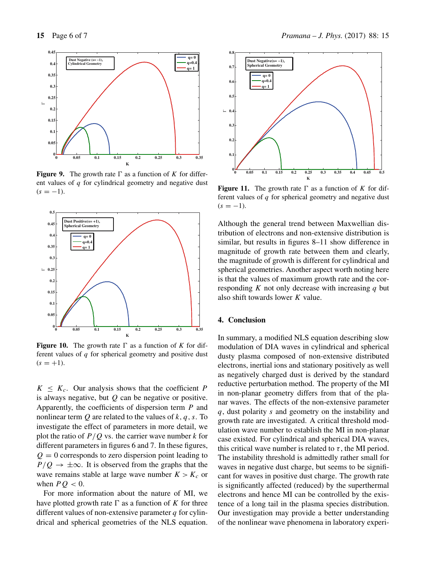

**Figure 9.** The growth rate  $\Gamma$  as a function of K for different values of  $q$  for cylindrical geometry and negative dust  $(s = -1)$ .



**Figure 10.** The growth rate  $\Gamma$  as a function of *K* for different values of  $q$  for spherical geometry and positive dust  $(s = +1)$ .

 $K \leq K_c$ . Our analysis shows that the coefficient P is always negative, but  $Q$  can be negative or positive. Apparently, the coefficients of dispersion term P and nonlinear term  $Q$  are related to the values of  $k, q, s$ . To investigate the effect of parameters in more detail, we plot the ratio of  $P/Q$  vs. the carrier wave number k for different parameters in figures 6 and 7. In these figures,  $Q = 0$  corresponds to zero dispersion point leading to  $P/Q \rightarrow \pm \infty$ . It is observed from the graphs that the wave remains stable at large wave number  $K > K_c$  or when  $PO < 0$ .

For more information about the nature of MI, we have plotted growth rate  $\Gamma$  as a function of K for three different values of non-extensive parameter  $q$  for cylindrical and spherical geometries of the NLS equation.



**Figure 11.** The growth rate  $\Gamma$  as a function of K for different values of  $q$  for spherical geometry and negative dust  $(s = -1)$ .

Although the general trend between Maxwellian distribution of electrons and non-extensive distribution is similar, but results in figures 8–11 show difference in magnitude of growth rate between them and clearly, the magnitude of growth is different for cylindrical and spherical geometries. Another aspect worth noting here is that the values of maximum growth rate and the corresponding  $K$  not only decrease with increasing  $q$  but also shift towards lower K value.

# **4. Conclusion**

In summary, a modified NLS equation describing slow modulation of DIA waves in cylindrical and spherical dusty plasma composed of non-extensive distributed electrons, inertial ions and stationary positively as well as negatively charged dust is derived by the standard reductive perturbation method. The property of the MI in non-planar geometry differs from that of the planar waves. The effects of the non-extensive parameter q, dust polarity s and geometry on the instability and growth rate are investigated. A critical threshold modulation wave number to establish the MI in non-planar case existed. For cylindrical and spherical DIA waves, this critical wave number is related to  $\tau$ , the MI period. The instability threshold is admittedly rather small for waves in negative dust charge, but seems to be significant for waves in positive dust charge. The growth rate is significantly affected (reduced) by the superthermal electrons and hence MI can be controlled by the existence of a long tail in the plasma species distribution. Our investigation may provide a better understanding of the nonlinear wave phenomena in laboratory experi-